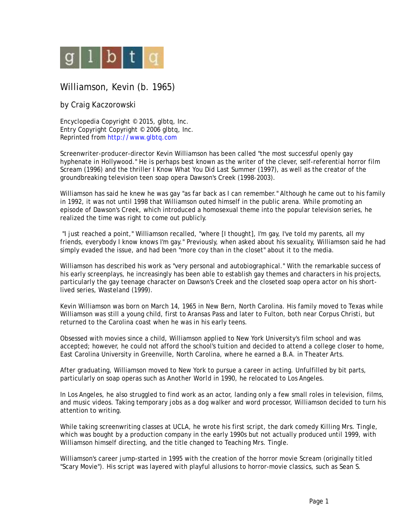

## Williamson, Kevin (b. 1965)

by Craig Kaczorowski

Encyclopedia Copyright © 2015, glbtq, Inc. Entry Copyright Copyright © 2006 glbtq, Inc. Reprinted from<http://www.glbtq.com>

Screenwriter-producer-director Kevin Williamson has been called "the most successful openly gay hyphenate in Hollywood." He is perhaps best known as the writer of the clever, self-referential horror film *Scream* (1996) and the thriller *I Know What You Did Last Summer* (1997), as well as the creator of the groundbreaking television teen soap opera *Dawson's Creek* (1998-2003).

Williamson has said he knew he was gay "as far back as I can remember." Although he came out to his family in 1992, it was not until 1998 that Williamson outed himself in the public arena. While promoting an episode of *Dawson's Creek*, which introduced a homosexual theme into the popular television series, he realized the time was right to come out publicly.

 "I just reached a point," Williamson recalled, "where [I thought], I'm gay, I've told my parents, all my friends, everybody I know knows I'm gay." Previously, when asked about his sexuality, Williamson said he had simply evaded the issue, and had been "more coy than in the closet" about it to the media.

Williamson has described his work as "very personal and autobiographical." With the remarkable success of his early screenplays, he increasingly has been able to establish gay themes and characters in his projects, particularly the gay teenage character on *Dawson's Creek* and the closeted soap opera actor on his shortlived series, *Wasteland* (1999).

Kevin Williamson was born on March 14, 1965 in New Bern, North Carolina. His family moved to Texas while Williamson was still a young child, first to Aransas Pass and later to Fulton, both near Corpus Christi, but returned to the Carolina coast when he was in his early teens.

Obsessed with movies since a child, Williamson applied to New York University's film school and was accepted; however, he could not afford the school's tuition and decided to attend a college closer to home, East Carolina University in Greenville, North Carolina, where he earned a B.A. in Theater Arts.

After graduating, Williamson moved to New York to pursue a career in acting. Unfulfilled by bit parts, particularly on soap operas such as *Another World* in 1990, he relocated to Los Angeles.

In Los Angeles, he also struggled to find work as an actor, landing only a few small roles in television, films, and music videos. Taking temporary jobs as a dog walker and word processor, Williamson decided to turn his attention to writing.

While taking screenwriting classes at UCLA, he wrote his first script, the dark comedy *Killing Mrs. Tingle*, which was bought by a production company in the early 1990s but not actually produced until 1999, with Williamson himself directing, and the title changed to *Teaching Mrs. Tingle*.

Williamson's career jump-started in 1995 with the creation of the horror movie *Scream* (originally titled "Scary Movie"). His script was layered with playful allusions to horror-movie classics, such as Sean S.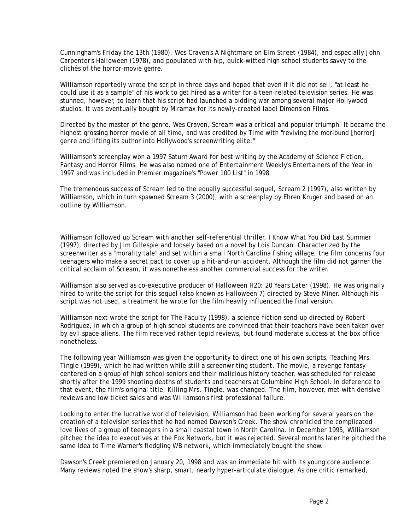Cunningham's *Friday the 13th* (1980), Wes Craven's *A Nightmare on Elm Street* (1984), and especially John Carpenter's *Halloween* (1978), and populated with hip, quick-witted high school students savvy to the clichés of the horror-movie genre.

Williamson reportedly wrote the script in three days and hoped that even if it did not sell, "at least he could use it as a sample" of his work to get hired as a writer for a teen-related television series. He was stunned, however, to learn that his script had launched a bidding war among several major Hollywood studios. It was eventually bought by Miramax for its newly-created label Dimension Films.

Directed by the master of the genre, Wes Craven, *Scream* was a critical and popular triumph. It became the highest grossing horror movie of all time, and was credited by *Time* with "reviving the moribund [horror] genre and lifting its author into Hollywood's screenwriting elite."

Williamson's screenplay won a 1997 Saturn Award for best writing by the Academy of Science Fiction, Fantasy and Horror Films. He was also named one of *Entertainment Weekly*'s Entertainers of the Year in 1997 and was included in *Premier* magazine's "Power 100 List" in 1998.

The tremendous success of *Scream* led to the equally successful sequel, *Scream 2* (1997), also written by Williamson, which in turn spawned *Scream 3* (2000), with a screenplay by Ehren Kruger and based on an outline by Williamson.

Williamson followed up *Scream* with another self-referential thriller, *I Know What You Did Last Summer* (1997), directed by Jim Gillespie and loosely based on a novel by Lois Duncan. Characterized by the screenwriter as a "morality tale" and set within a small North Carolina fishing village, the film concerns four teenagers who make a secret pact to cover up a hit-and-run accident. Although the film did not garner the critical acclaim of *Scream*, it was nonetheless another commercial success for the writer.

Williamson also served as co-executive producer of *Halloween H20: 20 Years Later* (1998). He was originally hired to write the script for this sequel (also known as *Halloween 7*) directed by Steve Miner. Although his script was not used, a treatment he wrote for the film heavily influenced the final version.

Williamson next wrote the script for *The Faculty* (1998), a science-fiction send-up directed by Robert Rodriguez, in which a group of high school students are convinced that their teachers have been taken over by evil space aliens. The film received rather tepid reviews, but found moderate success at the box office nonetheless.

The following year Williamson was given the opportunity to direct one of his own scripts, *Teaching Mrs. Tingle* (1999), which he had written while still a screenwriting student. The movie, a revenge fantasy centered on a group of high school seniors and their malicious history teacher, was scheduled for release shortly after the 1999 shooting deaths of students and teachers at Columbine High School. In deference to that event, the film's original title, *Killing Mrs. Tingle*, was changed. The film, however, met with derisive reviews and low ticket sales and was Williamson's first professional failure.

Looking to enter the lucrative world of television, Williamson had been working for several years on the creation of a television series that he had named *Dawson's Creek*. The show chronicled the complicated love lives of a group of teenagers in a small coastal town in North Carolina. In December 1995, Williamson pitched the idea to executives at the Fox Network, but it was rejected. Several months later he pitched the same idea to Time Warner's fledgling WB network, which immediately bought the show.

*Dawson's Creek* premiered on January 20, 1998 and was an immediate hit with its young core audience. Many reviews noted the show's sharp, smart, nearly hyper-articulate dialogue. As one critic remarked,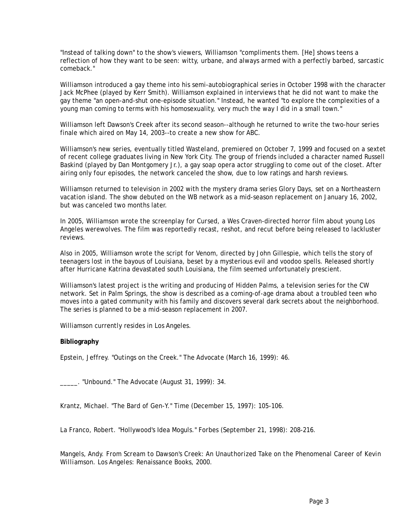"Instead of talking down" to the show's viewers, Williamson "compliments them. [He] shows teens a reflection of how they want to be seen: witty, urbane, and always armed with a perfectly barbed, sarcastic comeback."

Williamson introduced a gay theme into his semi-autobiographical series in October 1998 with the character Jack McPhee (played by Kerr Smith). Williamson explained in interviews that he did not want to make the gay theme "an open-and-shut one-episode situation." Instead, he wanted "to explore the complexities of a young man coming to terms with his homosexuality, very much the way I did in a small town."

Williamson left *Dawson's Creek* after its second season--although he returned to write the two-hour series finale which aired on May 14, 2003--to create a new show for ABC.

Williamson's new series, eventually titled *Wasteland*, premiered on October 7, 1999 and focused on a sextet of recent college graduates living in New York City. The group of friends included a character named Russell Baskind (played by Dan Montgomery Jr.), a gay soap opera actor struggling to come out of the closet. After airing only four episodes, the network canceled the show, due to low ratings and harsh reviews.

Williamson returned to television in 2002 with the mystery drama series *Glory Days*, set on a Northeastern vacation island. The show debuted on the WB network as a mid-season replacement on January 16, 2002, but was canceled two months later.

In 2005, Williamson wrote the screenplay for *Cursed*, a Wes Craven-directed horror film about young Los Angeles werewolves. The film was reportedly recast, reshot, and recut before being released to lackluster reviews.

Also in 2005, Williamson wrote the script for *Venom,* directed by John Gillespie, which tells the story of teenagers lost in the bayous of Louisiana, beset by a mysterious evil and voodoo spells. Released shortly after Hurricane Katrina devastated south Louisiana, the film seemed unfortunately prescient.

Williamson's latest project is the writing and producing of *Hidden Palms*, a television series for the CW network. Set in Palm Springs, the show is described as a coming-of-age drama about a troubled teen who moves into a gated community with his family and discovers several dark secrets about the neighborhood. The series is planned to be a mid-season replacement in 2007.

Williamson currently resides in Los Angeles.

## **Bibliography**

Epstein, Jeffrey. "Outings on the Creek." *The Advocate* (March 16, 1999): 46.

\_\_\_\_\_. "Unbound." *The Advocate* (August 31, 1999): 34.

Krantz, Michael. "The Bard of Gen-Y." *Time* (December 15, 1997): 105-106.

La Franco, Robert. "Hollywood's Idea Moguls." *Forbes* (September 21, 1998): 208-216.

Mangels, Andy. *From Scream to Dawson's Creek: An Unauthorized Take on the Phenomenal Career of Kevin Williamson*. Los Angeles: Renaissance Books, 2000.